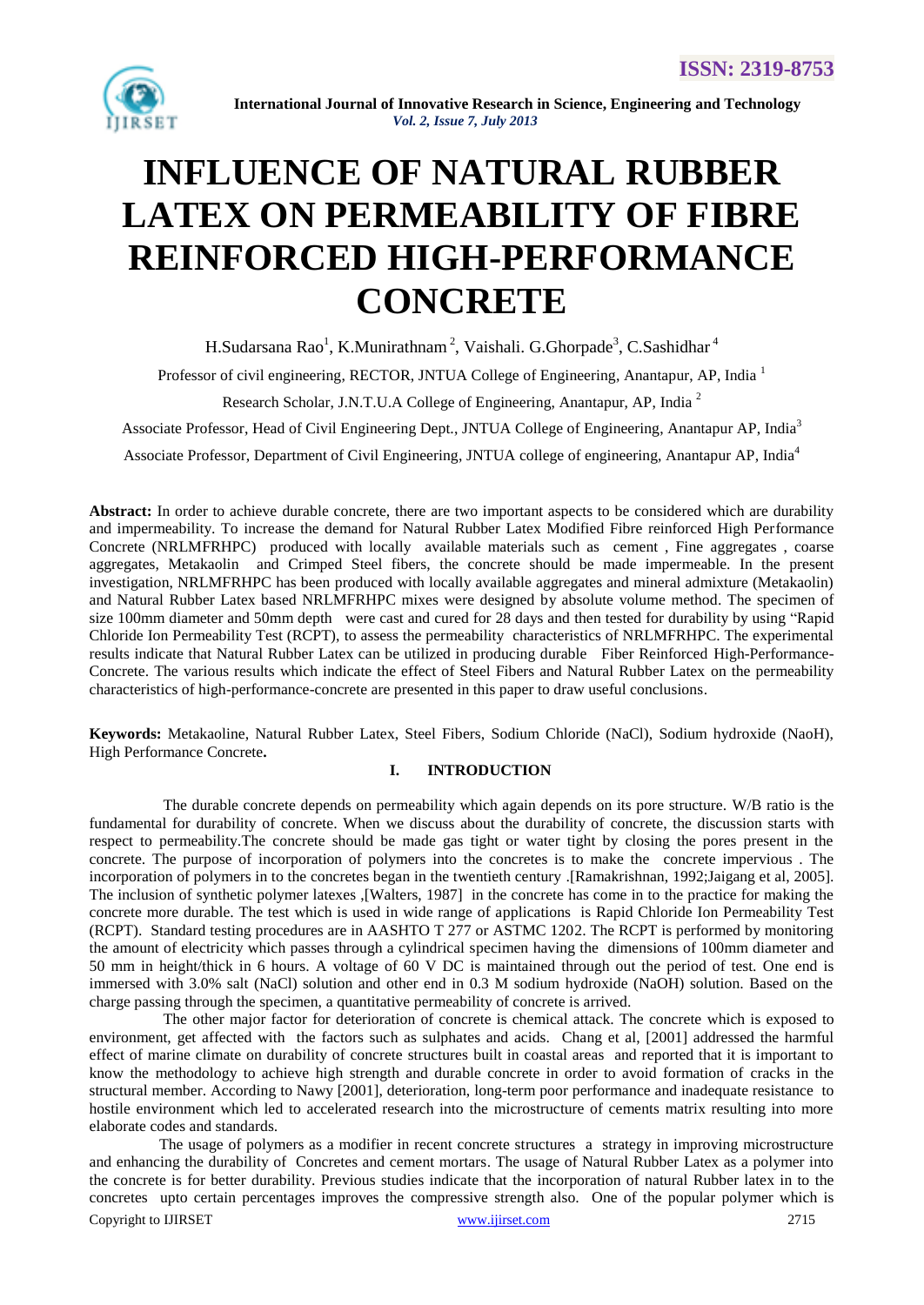

# **INFLUENCE OF NATURAL RUBBER LATEX ON PERMEABILITY OF FIBRE REINFORCED HIGH-PERFORMANCE CONCRETE**

H.Sudarsana Rao<sup>1</sup>, K.Munirathnam<sup>2</sup>, Vaishali. G.Ghorpade<sup>3</sup>, C.Sashidhar<sup>4</sup>

Professor of civil engineering, RECTOR, JNTUA College of Engineering, Anantapur, AP, India<sup>1</sup>

Research Scholar, J.N.T.U.A College of Engineering, Anantapur, AP, India <sup>2</sup>

Associate Professor, Head of Civil Engineering Dept., JNTUA College of Engineering, Anantapur AP, India<sup>3</sup>

Associate Professor, Department of Civil Engineering, JNTUA college of engineering, Anantapur AP, India<sup>4</sup>

**Abstract:** In order to achieve durable concrete, there are two important aspects to be considered which are durability and impermeability. To increase the demand for Natural Rubber Latex Modified Fibre reinforced High Performance Concrete (NRLMFRHPC) produced with locally available materials such as cement , Fine aggregates , coarse aggregates, Metakaolin and Crimped Steel fibers, the concrete should be made impermeable. In the present investigation, NRLMFRHPC has been produced with locally available aggregates and mineral admixture (Metakaolin) and Natural Rubber Latex based NRLMFRHPC mixes were designed by absolute volume method. The specimen of size 100mm diameter and 50mm depth were cast and cured for 28 days and then tested for durability by using "Rapid Chloride Ion Permeability Test (RCPT), to assess the permeability characteristics of NRLMFRHPC. The experimental results indicate that Natural Rubber Latex can be utilized in producing durable Fiber Reinforced High-Performance-Concrete. The various results which indicate the effect of Steel Fibers and Natural Rubber Latex on the permeability characteristics of high-performance-concrete are presented in this paper to draw useful conclusions.

**Keywords:** Metakaoline, Natural Rubber Latex, Steel Fibers, Sodium Chloride (NaCl), Sodium hydroxide (NaoH), High Performance Concrete**.**

# **I. INTRODUCTION**

 The durable concrete depends on permeability which again depends on its pore structure. W/B ratio is the fundamental for durability of concrete. When we discuss about the durability of concrete, the discussion starts with respect to permeability.The concrete should be made gas tight or water tight by closing the pores present in the concrete. The purpose of incorporation of polymers into the concretes is to make the concrete impervious . The incorporation of polymers in to the concretes began in the twentieth century .[Ramakrishnan, 1992;Jaigang et al, 2005]. The inclusion of synthetic polymer latexes ,[Walters, 1987] in the concrete has come in to the practice for making the concrete more durable. The test which is used in wide range of applications is Rapid Chloride Ion Permeability Test (RCPT). Standard testing procedures are in AASHTO T 277 or ASTMC 1202. The RCPT is performed by monitoring the amount of electricity which passes through a cylindrical specimen having the dimensions of 100mm diameter and 50 mm in height/thick in 6 hours. A voltage of 60 V DC is maintained through out the period of test. One end is immersed with 3.0% salt (NaCl) solution and other end in 0.3 M sodium hydroxide (NaOH) solution. Based on the charge passing through the specimen, a quantitative permeability of concrete is arrived.

 The other major factor for deterioration of concrete is chemical attack. The concrete which is exposed to environment, get affected with the factors such as sulphates and acids. Chang et al, [2001] addressed the harmful effect of marine climate on durability of concrete structures built in coastal areas and reported that it is important to know the methodology to achieve high strength and durable concrete in order to avoid formation of cracks in the structural member. According to Nawy [2001], deterioration, long-term poor performance and inadequate resistance to hostile environment which led to accelerated research into the microstructure of cements matrix resulting into more elaborate codes and standards.

Copyright to IJIRSET [www.ijirset.com](http://www.ijirset.com/) 2715 The usage of polymers as a modifier in recent concrete structures a strategy in improving microstructure and enhancing the durability of Concretes and cement mortars. The usage of Natural Rubber Latex as a polymer into the concrete is for better durability. Previous studies indicate that the incorporation of natural Rubber latex in to the concretes upto certain percentages improves the compressive strength also. One of the popular polymer which is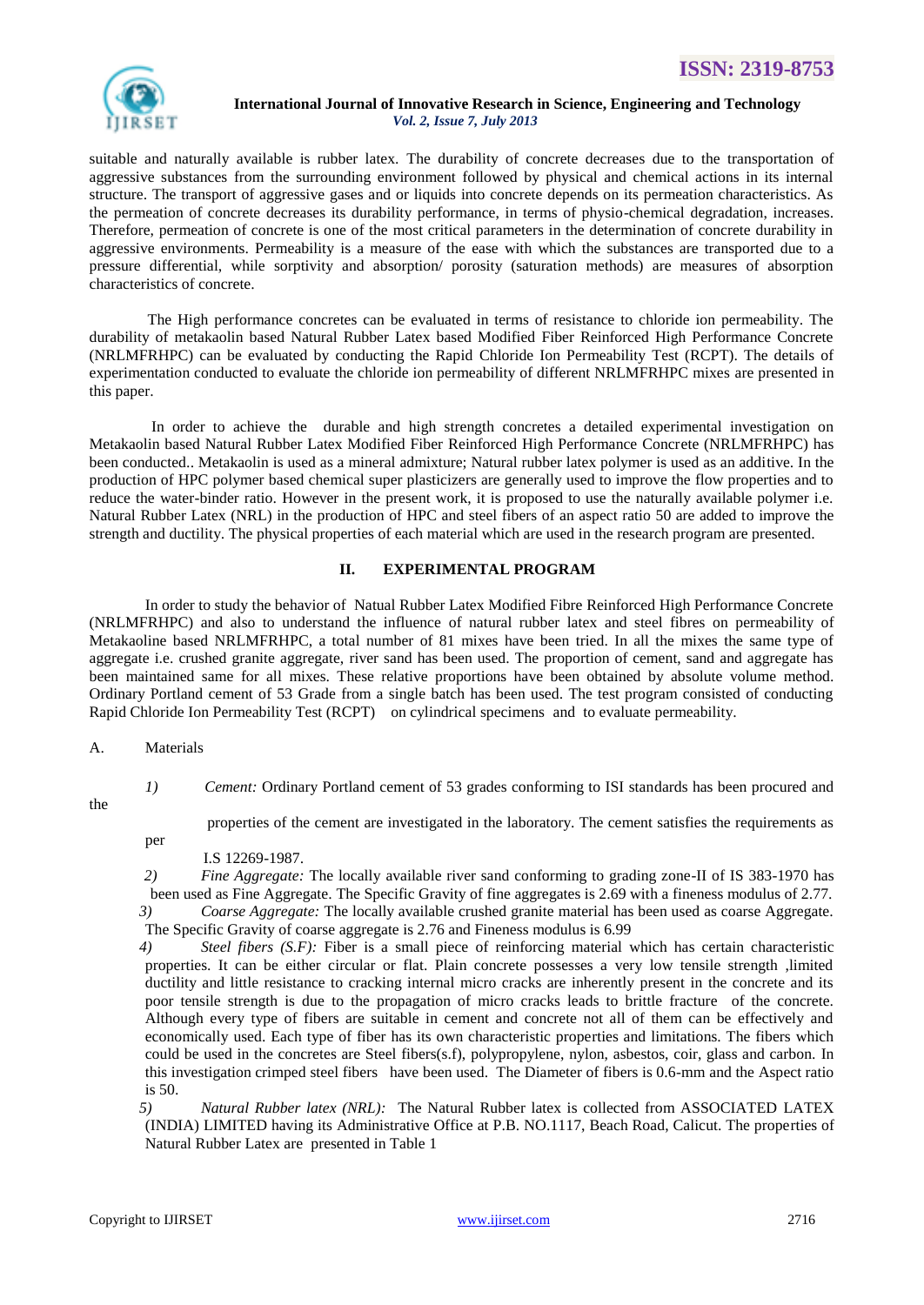

suitable and naturally available is rubber latex. The durability of concrete decreases due to the transportation of aggressive substances from the surrounding environment followed by physical and chemical actions in its internal structure. The transport of aggressive gases and or liquids into concrete depends on its permeation characteristics. As the permeation of concrete decreases its durability performance, in terms of physio-chemical degradation, increases. Therefore, permeation of concrete is one of the most critical parameters in the determination of concrete durability in aggressive environments. Permeability is a measure of the ease with which the substances are transported due to a pressure differential, while sorptivity and absorption/ porosity (saturation methods) are measures of absorption characteristics of concrete.

 The High performance concretes can be evaluated in terms of resistance to chloride ion permeability. The durability of metakaolin based Natural Rubber Latex based Modified Fiber Reinforced High Performance Concrete (NRLMFRHPC) can be evaluated by conducting the Rapid Chloride Ion Permeability Test (RCPT). The details of experimentation conducted to evaluate the chloride ion permeability of different NRLMFRHPC mixes are presented in this paper.

 In order to achieve the durable and high strength concretes a detailed experimental investigation on Metakaolin based Natural Rubber Latex Modified Fiber Reinforced High Performance Concrete (NRLMFRHPC) has been conducted.. Metakaolin is used as a mineral admixture; Natural rubber latex polymer is used as an additive. In the production of HPC polymer based chemical super plasticizers are generally used to improve the flow properties and to reduce the water-binder ratio. However in the present work, it is proposed to use the naturally available polymer i.e. Natural Rubber Latex (NRL) in the production of HPC and steel fibers of an aspect ratio 50 are added to improve the strength and ductility. The physical properties of each material which are used in the research program are presented.

# **II. EXPERIMENTAL PROGRAM**

In order to study the behavior of Natual Rubber Latex Modified Fibre Reinforced High Performance Concrete (NRLMFRHPC) and also to understand the influence of natural rubber latex and steel fibres on permeability of Metakaoline based NRLMFRHPC, a total number of 81 mixes have been tried. In all the mixes the same type of aggregate i.e. crushed granite aggregate, river sand has been used. The proportion of cement, sand and aggregate has been maintained same for all mixes. These relative proportions have been obtained by absolute volume method. Ordinary Portland cement of 53 Grade from a single batch has been used. The test program consisted of conducting Rapid Chloride Ion Permeability Test (RCPT) on cylindrical specimens and to evaluate permeability.

#### A. Materials

per

the

*1) Cement:* Ordinary Portland cement of 53 grades conforming to ISI standards has been procured and

properties of the cement are investigated in the laboratory. The cement satisfies the requirements as

I.S 12269-1987.

*2) Fine Aggregate:* The locally available river sand conforming to grading zone-II of IS 383-1970 has been used as Fine Aggregate. The Specific Gravity of fine aggregates is 2.69 with a fineness modulus of 2.77. *3) Coarse Aggregate:* The locally available crushed granite material has been used as coarse Aggregate.

The Specific Gravity of coarse aggregate is 2.76 and Fineness modulus is 6.99 *4) Steel fibers (S.F):* Fiber is a small piece of reinforcing material which has certain characteristic

properties. It can be either circular or flat. Plain concrete possesses a very low tensile strength ,limited ductility and little resistance to cracking internal micro cracks are inherently present in the concrete and its poor tensile strength is due to the propagation of micro cracks leads to brittle fracture of the concrete. Although every type of fibers are suitable in cement and concrete not all of them can be effectively and economically used. Each type of fiber has its own characteristic properties and limitations. The fibers which could be used in the concretes are Steel fibers(s.f), polypropylene, nylon, asbestos, coir, glass and carbon. In this investigation crimped steel fibers have been used. The Diameter of fibers is 0.6-mm and the Aspect ratio is 50.

*5) Natural Rubber latex (NRL):* The Natural Rubber latex is collected from ASSOCIATED LATEX (INDIA) LIMITED having its Administrative Office at P.B. NO.1117, Beach Road, Calicut. The properties of Natural Rubber Latex are presented in Table 1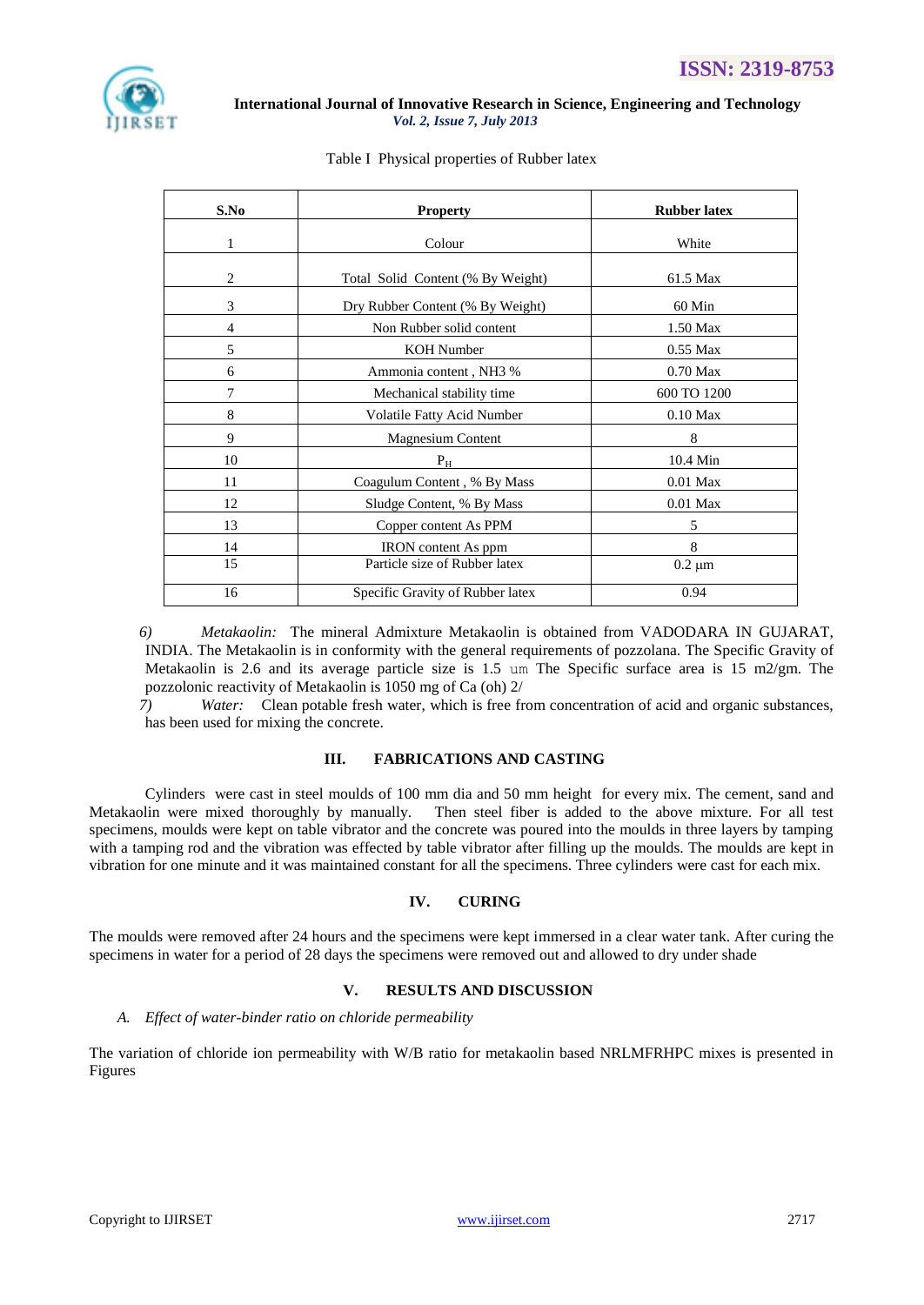

#### Table I Physical properties of Rubber latex

| S.No | <b>Property</b>                   | <b>Rubber latex</b> |
|------|-----------------------------------|---------------------|
|      | Colour                            | White               |
| 2    | Total Solid Content (% By Weight) | 61.5 Max            |
| 3    | Dry Rubber Content (% By Weight)  | 60 Min              |
| 4    | Non Rubber solid content          | 1.50 Max            |
| 5    | <b>KOH</b> Number                 | $0.55$ Max          |
| 6    | Ammonia content, NH3 %            | $0.70$ Max          |
| 7    | Mechanical stability time         | 600 TO 1200         |
| 8    | Volatile Fatty Acid Number        | $0.10$ Max          |
| 9    | <b>Magnesium Content</b>          | 8                   |
| 10   | $P_{\underline{H}}$               | 10.4 Min            |
| 11   | Coagulum Content, % By Mass       | $0.01$ Max          |
| 12   | Sludge Content, % By Mass         | $0.01$ Max          |
| 13   | Copper content As PPM             | 5                   |
| 14   | <b>IRON</b> content As ppm        | 8                   |
| 15   | Particle size of Rubber latex     | $0.2 \mu m$         |
| 16   | Specific Gravity of Rubber latex  | 0.94                |

*6) Metakaolin:* The mineral Admixture Metakaolin is obtained from VADODARA IN GUJARAT, INDIA. The Metakaolin is in conformity with the general requirements of pozzolana. The Specific Gravity of Metakaolin is 2.6 and its average particle size is 1.5 um The Specific surface area is 15 m2/gm. The pozzolonic reactivity of Metakaolin is 1050 mg of Ca (oh) 2/

*7) Water:* Clean potable fresh water, which is free from concentration of acid and organic substances, has been used for mixing the concrete.

# **III. FABRICATIONS AND CASTING**

Cylinders were cast in steel moulds of 100 mm dia and 50 mm height for every mix. The cement, sand and Metakaolin were mixed thoroughly by manually. Then steel fiber is added to the above mixture. For all test specimens, moulds were kept on table vibrator and the concrete was poured into the moulds in three layers by tamping with a tamping rod and the vibration was effected by table vibrator after filling up the moulds. The moulds are kept in vibration for one minute and it was maintained constant for all the specimens. Three cylinders were cast for each mix.

### **IV. CURING**

The moulds were removed after 24 hours and the specimens were kept immersed in a clear water tank. After curing the specimens in water for a period of 28 days the specimens were removed out and allowed to dry under shade

#### **V. RESULTS AND DISCUSSION**

#### *A. Effect of water-binder ratio on chloride permeability*

The variation of chloride ion permeability with W/B ratio for metakaolin based NRLMFRHPC mixes is presented in Figures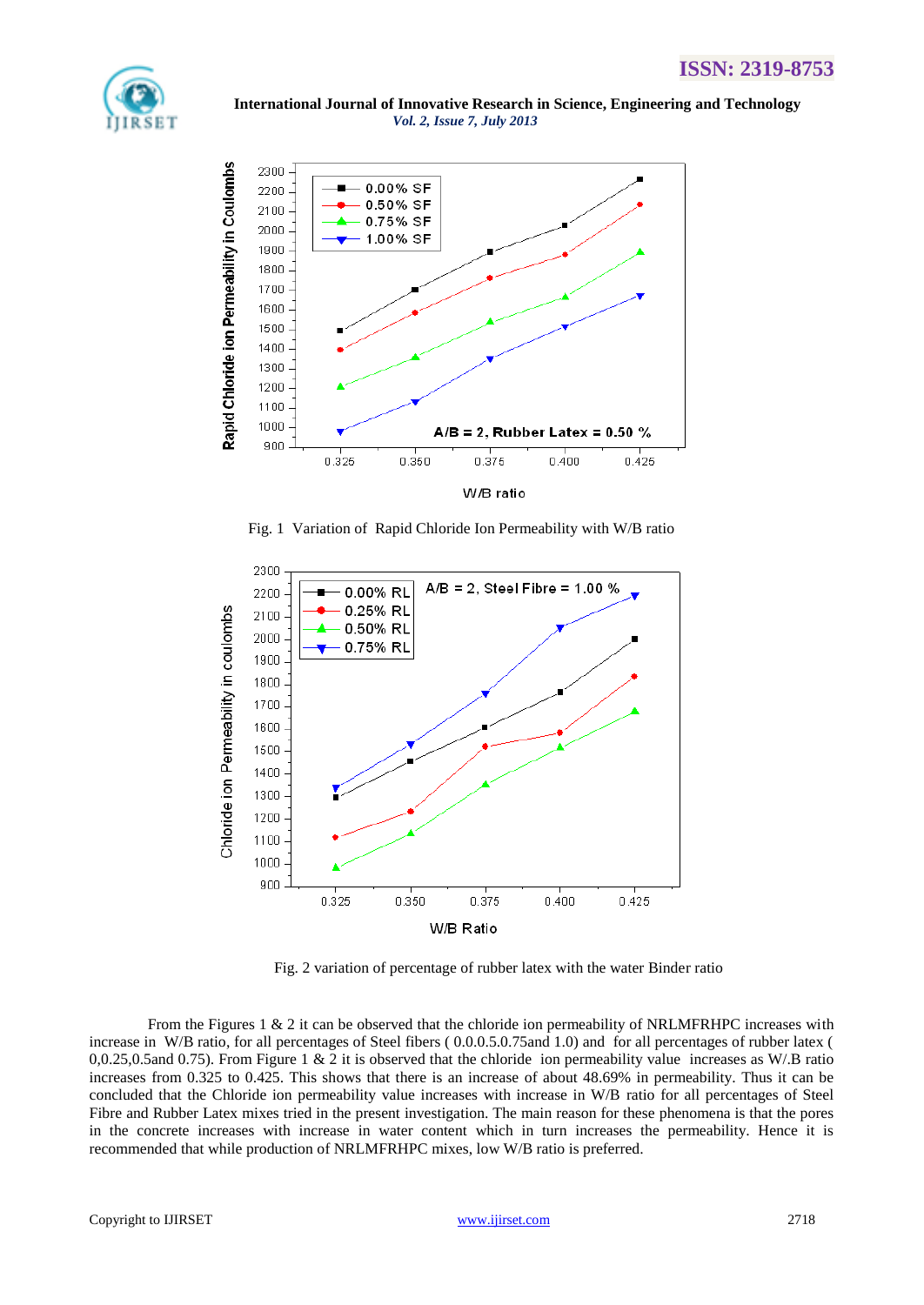



Fig. 1 Variation of Rapid Chloride Ion Permeability with W/B ratio



Fig. 2 variation of percentage of rubber latex with the water Binder ratio

From the Figures 1 & 2 it can be observed that the chloride ion permeability of NRLMFRHPC increases with increase in W/B ratio, for all percentages of Steel fibers ( 0.0.0.5.0.75and 1.0) and for all percentages of rubber latex ( 0,0.25,0.5and 0.75). From Figure 1 & 2 it is observed that the chloride ion permeability value increases as W/.B ratio increases from 0.325 to 0.425. This shows that there is an increase of about 48.69% in permeability. Thus it can be concluded that the Chloride ion permeability value increases with increase in W/B ratio for all percentages of Steel Fibre and Rubber Latex mixes tried in the present investigation. The main reason for these phenomena is that the pores in the concrete increases with increase in water content which in turn increases the permeability. Hence it is recommended that while production of NRLMFRHPC mixes, low W/B ratio is preferred.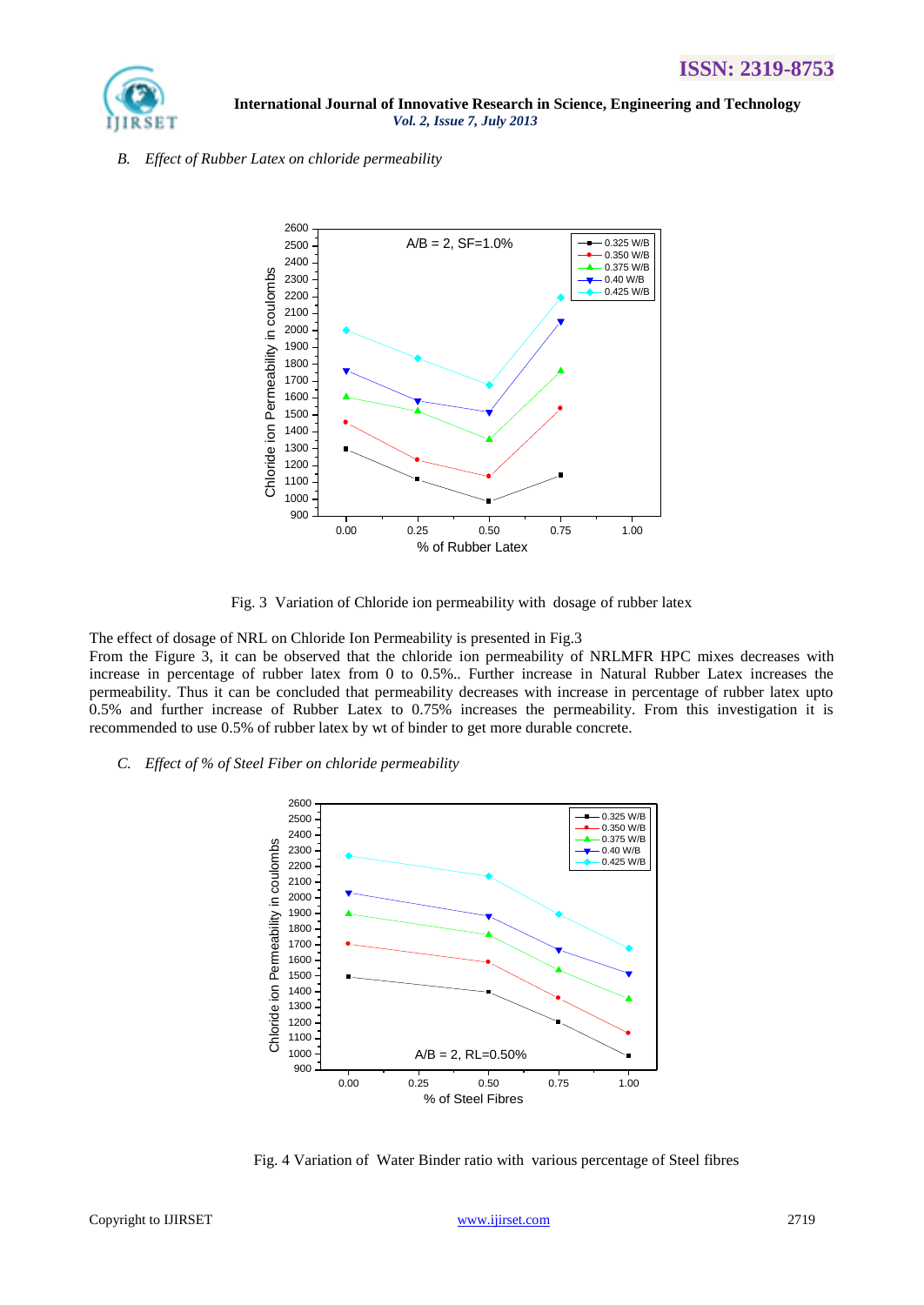

#### *B. Effect of Rubber Latex on chloride permeability*



Fig. 3 Variation of Chloride ion permeability with dosage of rubber latex

The effect of dosage of NRL on Chloride Ion Permeability is presented in Fig.3 From the Figure 3, it can be observed that the chloride ion permeability of NRLMFR HPC mixes decreases with increase in percentage of rubber latex from 0 to 0.5%.. Further increase in Natural Rubber Latex increases the permeability. Thus it can be concluded that permeability decreases with increase in percentage of rubber latex upto 0.5% and further increase of Rubber Latex to 0.75% increases the permeability. From this investigation it is recommended to use 0.5% of rubber latex by wt of binder to get more durable concrete.

#### *C. Effect of % of Steel Fiber on chloride permeability*



Fig. 4 Variation of Water Binder ratio with various percentage of Steel fibres